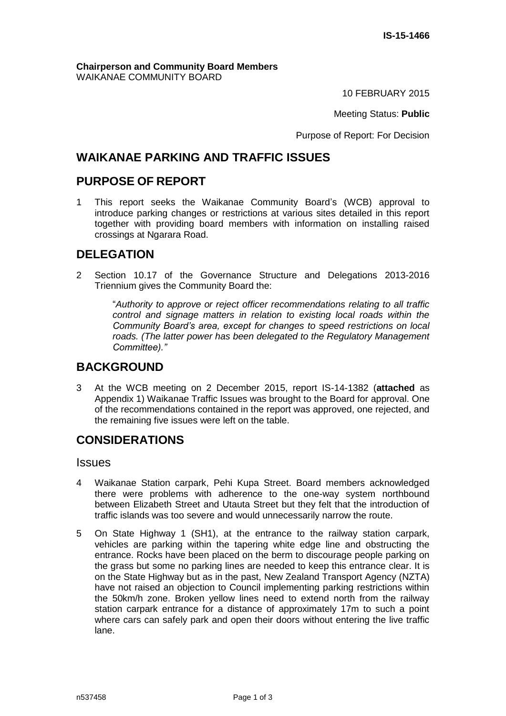**Chairperson and Community Board Members** WAIKANAE COMMUNITY BOARD

10 FEBRUARY 2015

Meeting Status: **Public**

Purpose of Report: For Decision

# **WAIKANAE PARKING AND TRAFFIC ISSUES**

# **PURPOSE OF REPORT**

1 This report seeks the Waikanae Community Board's (WCB) approval to introduce parking changes or restrictions at various sites detailed in this report together with providing board members with information on installing raised crossings at Ngarara Road.

# **DELEGATION**

2 Section 10.17 of the Governance Structure and Delegations 2013-2016 Triennium gives the Community Board the:

> "*Authority to approve or reject officer recommendations relating to all traffic control and signage matters in relation to existing local roads within the Community Board's area, except for changes to speed restrictions on local roads. (The latter power has been delegated to the Regulatory Management Committee)."*

## **BACKGROUND**

3 At the WCB meeting on 2 December 2015, report IS-14-1382 (**attached** as Appendix 1) Waikanae Traffic Issues was brought to the Board for approval. One of the recommendations contained in the report was approved, one rejected, and the remaining five issues were left on the table.

# **CONSIDERATIONS**

**Issues** 

- 4 Waikanae Station carpark, Pehi Kupa Street. Board members acknowledged there were problems with adherence to the one-way system northbound between Elizabeth Street and Utauta Street but they felt that the introduction of traffic islands was too severe and would unnecessarily narrow the route.
- 5 On State Highway 1 (SH1), at the entrance to the railway station carpark, vehicles are parking within the tapering white edge line and obstructing the entrance. Rocks have been placed on the berm to discourage people parking on the grass but some no parking lines are needed to keep this entrance clear. It is on the State Highway but as in the past, New Zealand Transport Agency (NZTA) have not raised an objection to Council implementing parking restrictions within the 50km/h zone. Broken yellow lines need to extend north from the railway station carpark entrance for a distance of approximately 17m to such a point where cars can safely park and open their doors without entering the live traffic lane.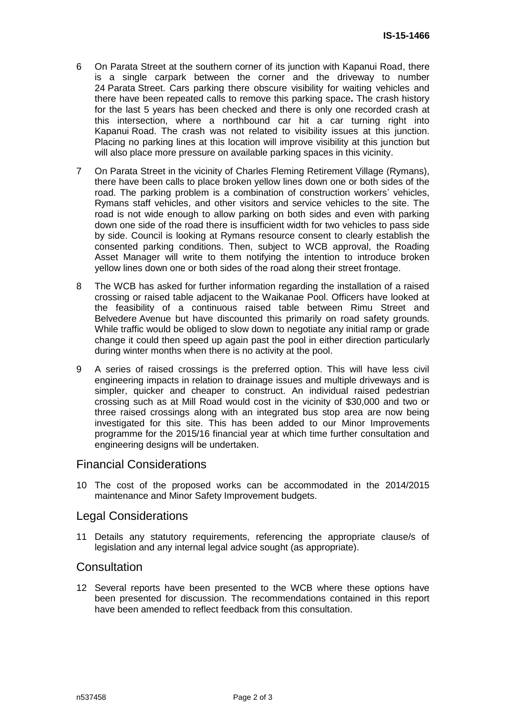- 6 On Parata Street at the southern corner of its junction with Kapanui Road, there is a single carpark between the corner and the driveway to number 24 Parata Street. Cars parking there obscure visibility for waiting vehicles and there have been repeated calls to remove this parking space**.** The crash history for the last 5 years has been checked and there is only one recorded crash at this intersection, where a northbound car hit a car turning right into Kapanui Road. The crash was not related to visibility issues at this junction. Placing no parking lines at this location will improve visibility at this junction but will also place more pressure on available parking spaces in this vicinity.
- 7 On Parata Street in the vicinity of Charles Fleming Retirement Village (Rymans), there have been calls to place broken yellow lines down one or both sides of the road. The parking problem is a combination of construction workers' vehicles, Rymans staff vehicles, and other visitors and service vehicles to the site. The road is not wide enough to allow parking on both sides and even with parking down one side of the road there is insufficient width for two vehicles to pass side by side. Council is looking at Rymans resource consent to clearly establish the consented parking conditions. Then, subject to WCB approval, the Roading Asset Manager will write to them notifying the intention to introduce broken yellow lines down one or both sides of the road along their street frontage.
- 8 The WCB has asked for further information regarding the installation of a raised crossing or raised table adjacent to the Waikanae Pool. Officers have looked at the feasibility of a continuous raised table between Rimu Street and Belvedere Avenue but have discounted this primarily on road safety grounds. While traffic would be obliged to slow down to negotiate any initial ramp or grade change it could then speed up again past the pool in either direction particularly during winter months when there is no activity at the pool.
- 9 A series of raised crossings is the preferred option. This will have less civil engineering impacts in relation to drainage issues and multiple driveways and is simpler, quicker and cheaper to construct. An individual raised pedestrian crossing such as at Mill Road would cost in the vicinity of \$30,000 and two or three raised crossings along with an integrated bus stop area are now being investigated for this site. This has been added to our Minor Improvements programme for the 2015/16 financial year at which time further consultation and engineering designs will be undertaken.

### Financial Considerations

10 The cost of the proposed works can be accommodated in the 2014/2015 maintenance and Minor Safety Improvement budgets.

#### Legal Considerations

11 Details any statutory requirements, referencing the appropriate clause/s of legislation and any internal legal advice sought (as appropriate).

#### **Consultation**

12 Several reports have been presented to the WCB where these options have been presented for discussion. The recommendations contained in this report have been amended to reflect feedback from this consultation.